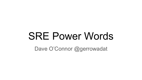# SRE Power Words

Dave O'Connor @gerrowadat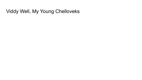### Viddy Well, My Young Chelloveks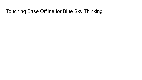### Touching Base Offline for Blue Sky Thinking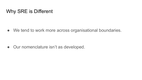### Why SRE is Different

● We tend to work more across organisational boundaries.

● Our nomenclature isn't as developed.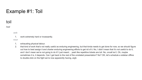### Example #1: Toil

### toil

#### /tɔɪl/

*verb*

1. work extremely hard or incessantly.

*noun*

- 1. exhausting physical labour.
- 2. that kind of work that's not really useful as enduring engineering, but that kinda needs to get done for now, so we should figure out how to best assign it and charter enduring engineering efforts to get rid of it. No, I didn't mean that it's not useful to do it, and I don't mean we're not going to do it! I just meant… yeah like repetitive tickets are toil. No, oncall isn't. Oh, maybe sometimes it is, it depends. Can I get back to the rest of the unrelated presentation? No? OK, let's schedule a sidebar offline to double-click on the fight we're now apparently having, argh.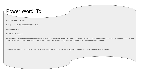### Power Word: Toil

**Casting Time**: 1 Action

**Range**: 1d6 willing creatures/caster level

**Components**: V

**Duration**: Permanent

**Description**: Causes creatures under the spell's effect to understand that while certain kinds of work are not high-value from engineering perspective, that the work is still necessary for the proper functioning of the system, and that enduring engineering work must be directed at eliminating it.

*"Manual, Repetitive, Automatable, Tactical, No Enduring Value, O(n) with Service growth" -- Malefactor Rau, 5th Annal of SRE Lore.*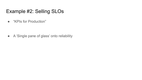### Example #2: Selling SLOs

● "KPIs for Production"

● A 'Single pane of glass' onto reliability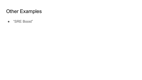## Other Examples

● "SRE Boost"